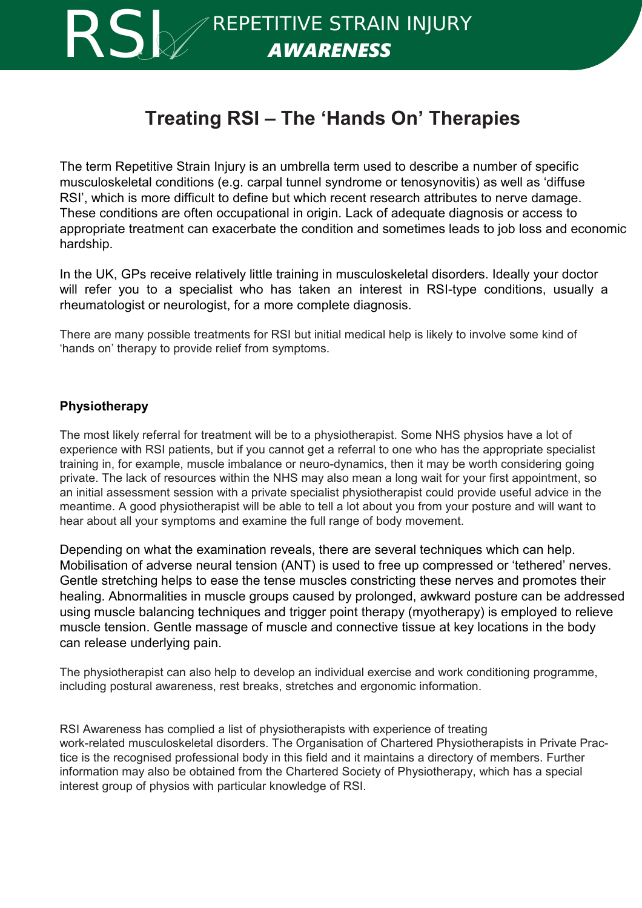

REPETITIVE STRAIN INJURY RSI *A AWARENESS*

# **Treating RSI – The 'Hands On' Therapies**

The term Repetitive Strain Injury is an umbrella term used to describe a number of specific musculoskeletal conditions (e.g. carpal tunnel syndrome or tenosynovitis) as well as 'diffuse RSI', which is more difficult to define but which recent research attributes to nerve damage. These conditions are often occupational in origin. Lack of adequate diagnosis or access to appropriate treatment can exacerbate the condition and sometimes leads to job loss and economic hardship.

In the UK, GPs receive relatively little training in musculoskeletal disorders. Ideally your doctor will refer you to a specialist who has taken an interest in RSI-type conditions, usually a rheumatologist or neurologist, for a more complete diagnosis.

There are many possible treatments for RSI but initial medical help is likely to involve some kind of 'hands on' therapy to provide relief from symptoms.

# **Physiotherapy**

The most likely referral for treatment will be to a physiotherapist. Some NHS physios have a lot of experience with RSI patients, but if you cannot get a referral to one who has the appropriate specialist training in, for example, muscle imbalance or neuro-dynamics, then it may be worth considering going private. The lack of resources within the NHS may also mean a long wait for your first appointment, so an initial assessment session with a private specialist physiotherapist could provide useful advice in the meantime. A good physiotherapist will be able to tell a lot about you from your posture and will want to hear about all your symptoms and examine the full range of body movement.

Depending on what the examination reveals, there are several techniques which can help. Mobilisation of adverse neural tension (ANT) is used to free up compressed or 'tethered' nerves. Gentle stretching helps to ease the tense muscles constricting these nerves and promotes their healing. Abnormalities in muscle groups caused by prolonged, awkward posture can be addressed using muscle balancing techniques and trigger point therapy (myotherapy) is employed to relieve muscle tension. Gentle massage of muscle and connective tissue at key locations in the body can release underlying pain.

The physiotherapist can also help to develop an individual exercise and work conditioning programme, including postural awareness, rest breaks, stretches and ergonomic information.

RSI Awareness has complied a list of physiotherapists with experience of treating work-related musculoskeletal disorders. The Organisation of Chartered Physiotherapists in Private Practice is the recognised professional body in this field and it maintains a directory of members. Further information may also be obtained from the Chartered Society of Physiotherapy, which has a special interest group of physios with particular knowledge of RSI.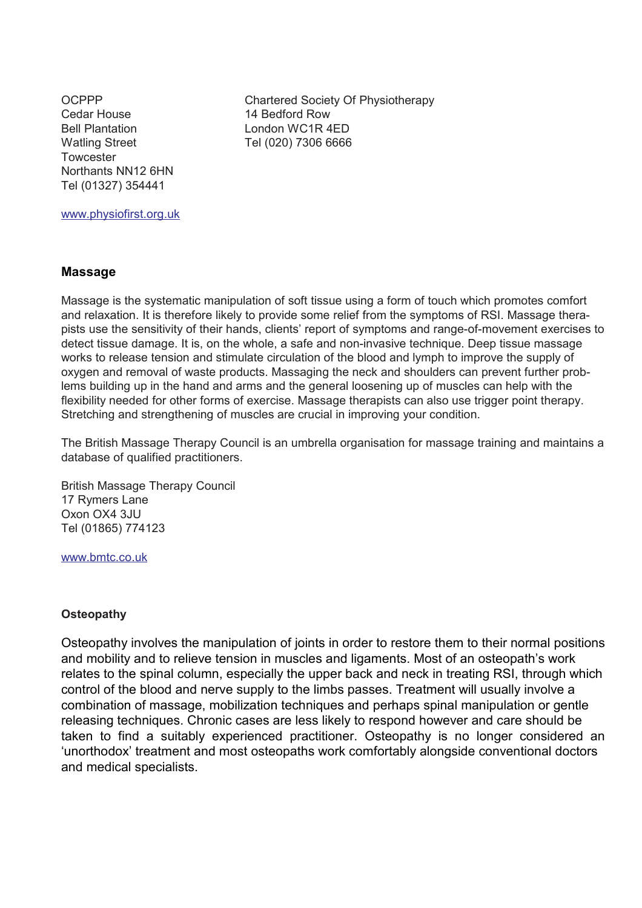Cedar House 14 Bedford Row Bell Plantation London WC1R 4FD Watling Street Tel (020) 7306 6666 **Towcester** Northants NN12 6HN Tel (01327) 354441

OCPPP Chartered Society Of Physiotherapy

www.physiofirst.org.uk

#### **Massage**

Massage is the systematic manipulation of soft tissue using a form of touch which promotes comfort and relaxation. It is therefore likely to provide some relief from the symptoms of RSI. Massage therapists use the sensitivity of their hands, clients' report of symptoms and range-of-movement exercises to detect tissue damage. It is, on the whole, a safe and non-invasive technique. Deep tissue massage works to release tension and stimulate circulation of the blood and lymph to improve the supply of oxygen and removal of waste products. Massaging the neck and shoulders can prevent further problems building up in the hand and arms and the general loosening up of muscles can help with the flexibility needed for other forms of exercise. Massage therapists can also use trigger point therapy. Stretching and strengthening of muscles are crucial in improving your condition.

The British Massage Therapy Council is an umbrella organisation for massage training and maintains a database of qualified practitioners.

British Massage Therapy Council 17 Rymers Lane Oxon OX4 3JU Tel (01865) 774123

www.bmtc.co.uk

#### **Osteopathy**

Osteopathy involves the manipulation of joints in order to restore them to their normal positions and mobility and to relieve tension in muscles and ligaments. Most of an osteopath's work relates to the spinal column, especially the upper back and neck in treating RSI, through which control of the blood and nerve supply to the limbs passes. Treatment will usually involve a combination of massage, mobilization techniques and perhaps spinal manipulation or gentle releasing techniques. Chronic cases are less likely to respond however and care should be taken to find a suitably experienced practitioner. Osteopathy is no longer considered an 'unorthodox' treatment and most osteopaths work comfortably alongside conventional doctors and medical specialists.